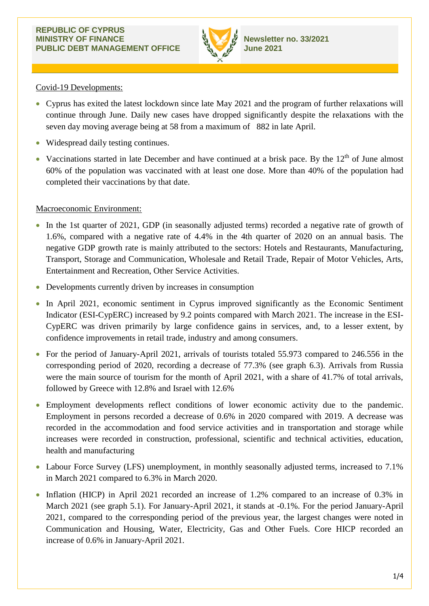

## Covid-19 Developments:

- Cyprus has exited the latest lockdown since late May 2021 and the program of further relaxations will continue through June. Daily new cases have dropped significantly despite the relaxations with the seven day moving average being at 58 from a maximum of 882 in late April.
- Widespread daily testing continues.
- Vaccinations started in late December and have continued at a brisk pace. By the  $12<sup>th</sup>$  of June almost 60% of the population was vaccinated with at least one dose. More than 40% of the population had completed their vaccinations by that date.

# Macroeconomic Environment:

- In the 1st quarter of 2021, GDP (in seasonally adjusted terms) recorded a negative rate of growth of 1.6%, compared with a negative rate of 4.4% in the 4th quarter of 2020 on an annual basis. The negative GDP growth rate is mainly attributed to the sectors: Hotels and Restaurants, Manufacturing, Transport, Storage and Communication, Wholesale and Retail Trade, Repair of Motor Vehicles, Arts, Entertainment and Recreation, Other Service Activities.
- Developments currently driven by increases in consumption
- In April 2021, economic sentiment in Cyprus improved significantly as the Economic Sentiment Indicator (ESI-CypERC) increased by 9.2 points compared with March 2021. The increase in the ESI-CypERC was driven primarily by large confidence gains in services, and, to a lesser extent, by confidence improvements in retail trade, industry and among consumers.
- For the period of January-April 2021, arrivals of tourists totaled 55.973 compared to 246.556 in the corresponding period of 2020, recording a decrease of 77.3% (see graph 6.3). Arrivals from Russia were the main source of tourism for the month of April 2021, with a share of 41.7% of total arrivals, followed by Greece with 12.8% and Israel with 12.6%
- Employment developments reflect conditions of lower economic activity due to the pandemic. Employment in persons recorded a decrease of 0.6% in 2020 compared with 2019. A decrease was recorded in the accommodation and food service activities and in transportation and storage while increases were recorded in construction, professional, scientific and technical activities, education, health and manufacturing
- Labour Force Survey (LFS) unemployment, in monthly seasonally adjusted terms, increased to 7.1% in March 2021 compared to 6.3% in March 2020.
- Inflation (HICP) in April 2021 recorded an increase of 1.2% compared to an increase of 0.3% in March 2021 (see graph 5.1). For January-April 2021, it stands at -0.1%. For the period January-April 2021, compared to the corresponding period of the previous year, the largest changes were noted in Communication and Housing, Water, Electricity, Gas and Other Fuels. Core HICP recorded an increase of 0.6% in January-April 2021.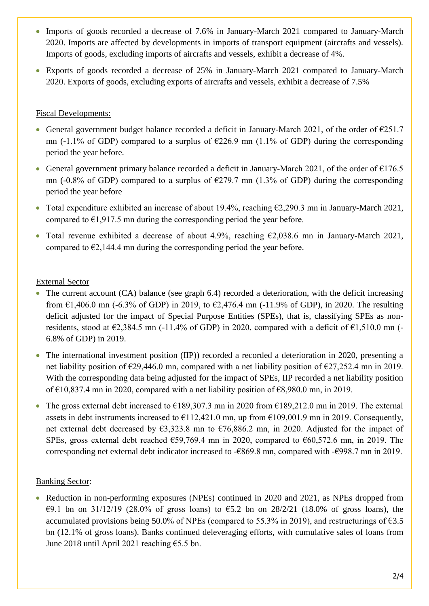- Imports of goods recorded a decrease of 7.6% in January-March 2021 compared to January-March 2020. Imports are affected by developments in imports of transport equipment (aircrafts and vessels). Imports of goods, excluding imports of aircrafts and vessels, exhibit a decrease of 4%.
- Exports of goods recorded a decrease of 25% in January-March 2021 compared to January-March 2020. Exports of goods, excluding exports of aircrafts and vessels, exhibit a decrease of 7.5%

# Fiscal Developments:

- General government budget balance recorded a deficit in January-March 2021, of the order of  $\epsilon$ 251.7 mn (-1.1% of GDP) compared to a surplus of  $\epsilon$ 226.9 mn (1.1% of GDP) during the corresponding period the year before.
- General government primary balance recorded a deficit in January-March 2021, of the order of  $\epsilon$ 176.5 mn (-0.8% of GDP) compared to a surplus of  $\epsilon$ 279.7 mn (1.3% of GDP) during the corresponding period the year before
- Total expenditure exhibited an increase of about 19.4%, reaching  $\epsilon$ 2,290.3 mn in January-March 2021, compared to  $\epsilon$ 1,917.5 mn during the corresponding period the year before.
- Total revenue exhibited a decrease of about 4.9%, reaching  $\epsilon$ 2.038.6 mn in January-March 2021, compared to  $\epsilon$ 2,144.4 mn during the corresponding period the year before.

## External Sector

- The current account (CA) balance (see graph 6.4) recorded a deterioration, with the deficit increasing from  $\epsilon$ 1,406.0 mn (-6.3% of GDP) in 2019, to  $\epsilon$ 2,476.4 mn (-11.9% of GDP), in 2020. The resulting deficit adjusted for the impact of Special Purpose Entities (SPEs), that is, classifying SPEs as nonresidents, stood at  $\epsilon$ 2,384.5 mn (-11.4% of GDP) in 2020, compared with a deficit of  $\epsilon$ 1,510.0 mn (-6.8% of GDP) in 2019.
- The international investment position (IIP)) recorded a recorded a deterioration in 2020, presenting a net liability position of  $\epsilon$ 29,446.0 mn, compared with a net liability position of  $\epsilon$ 27,252.4 mn in 2019. With the corresponding data being adjusted for the impact of SPEs, IIP recorded a net liability position of €10,837.4 mn in 2020, compared with a net liability position of  $€8,980.0$  mn, in 2019.
- The gross external debt increased to  $\epsilon$ 189,307.3 mn in 2020 from  $\epsilon$ 189,212.0 mn in 2019. The external assets in debt instruments increased to  $E112,421.0$  mn, up from  $E109,001.9$  mn in 2019. Consequently, net external debt decreased by  $\epsilon$ 3,323.8 mn to  $\epsilon$ 76,886.2 mn, in 2020. Adjusted for the impact of SPEs, gross external debt reached €59,769.4 mn in 2020, compared to €60,572.6 mn, in 2019. The corresponding net external debt indicator increased to -€869.8 mn, compared with -€998.7 mn in 2019.

# Banking Sector:

• Reduction in non-performing exposures (NPEs) continued in 2020 and 2021, as NPEs dropped from €9.1 bn on 31/12/19 (28.0% of gross loans) to  $€5.2$  bn on 28/2/21 (18.0% of gross loans), the accumulated provisions being 50.0% of NPEs (compared to 55.3% in 2019), and restructurings of  $\epsilon$ 3.5 bn (12.1% of gross loans). Banks continued deleveraging efforts, with cumulative sales of loans from June 2018 until April 2021 reaching €5.5 bn.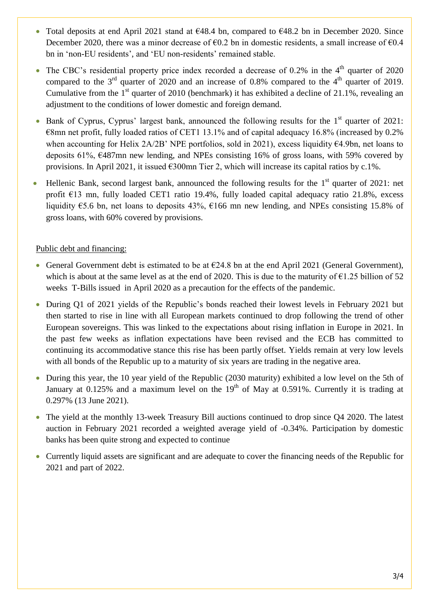- Total deposits at end April 2021 stand at  $648.4$  bn, compared to  $648.2$  bn in December 2020. Since December 2020, there was a minor decrease of  $\epsilon$ 0.2 bn in domestic residents, a small increase of  $\epsilon$ 0.4 bn in 'non-EU residents', and 'EU non-residents' remained stable.
- The CBC's residential property price index recorded a decrease of  $0.2\%$  in the  $4<sup>th</sup>$  quarter of 2020 compared to the  $3<sup>rd</sup>$  quarter of 2020 and an increase of 0.8% compared to the 4<sup>th</sup> quarter of 2019. Cumulative from the  $1<sup>st</sup>$  quarter of 2010 (benchmark) it has exhibited a decline of 21.1%, revealing an adjustment to the conditions of lower domestic and foreign demand.
- Bank of Cyprus, Cyprus' largest bank, announced the following results for the  $1<sup>st</sup>$  quarter of 2021:  $\epsilon$ 8mn net profit, fully loaded ratios of CET1 13.1% and of capital adequacy 16.8% (increased by 0.2%) when accounting for Helix 2A/2B' NPE portfolios, sold in 2021), excess liquidity €4.9bn, net loans to deposits 61%, €487mn new lending, and NPEs consisting 16% of gross loans, with 59% covered by provisions. In April 2021, it issued  $\epsilon$ 300mn Tier 2, which will increase its capital ratios by c.1%.
- Hellenic Bank, second largest bank, announced the following results for the  $1<sup>st</sup>$  quarter of 2021: net profit €13 mn, fully loaded CET1 ratio 19.4%, fully loaded capital adequacy ratio 21.8%, excess liquidity €5.6 bn, net loans to deposits 43%, €166 mn new lending, and NPEs consisting 15.8% of gross loans, with 60% covered by provisions.

## Public debt and financing:

- General Government debt is estimated to be at  $\epsilon$ 24.8 bn at the end April 2021 (General Government), which is about at the same level as at the end of 2020. This is due to the maturity of  $\epsilon$ 1.25 billion of 52 weeks T-Bills issued in April 2020 as a precaution for the effects of the pandemic.
- During Q1 of 2021 yields of the Republic's bonds reached their lowest levels in February 2021 but then started to rise in line with all European markets continued to drop following the trend of other European sovereigns. This was linked to the expectations about rising inflation in Europe in 2021. In the past few weeks as inflation expectations have been revised and the ECB has committed to continuing its accommodative stance this rise has been partly offset. Yields remain at very low levels with all bonds of the Republic up to a maturity of six years are trading in the negative area.
- During this year, the 10 year yield of the Republic (2030 maturity) exhibited a low level on the 5th of January at 0.125% and a maximum level on the  $19<sup>th</sup>$  of May at 0.591%. Currently it is trading at 0.297% (13 June 2021).
- The yield at the monthly 13-week Treasury Bill auctions continued to drop since Q4 2020. The latest auction in February 2021 recorded a weighted average yield of -0.34%. Participation by domestic banks has been quite strong and expected to continue
- Currently liquid assets are significant and are adequate to cover the financing needs of the Republic for 2021 and part of 2022.